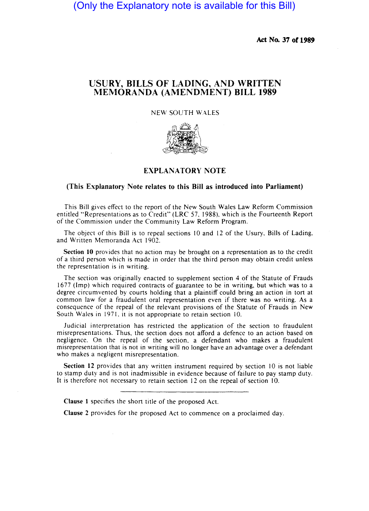(Only the Explanatory note is available for this Bill)

**Act No. 37 of 1989** 

## **USURY, BILLS OF LADING, AND WRITTEN l\1EMORANDA (AMENDMENT) BILL 1989**

## NEW SOUTH WALES



## **EXPLANATORY NOTE**

## **(This Explanatory Note relates to this Bill as introduced into Parliament)**

This Bill gives effect to the report of the New South Wales Law Reform Commission entitled "Representations as to Credit" (LRC 57. 1988). which is the Fourteenth Report of the Commission under the Community Law Reform Program.

The object of this Bill is to repeal sections 10 and 12 of the Usury. Bills of Lading. and Written Memoranda Act 1902.

**Section 10** provides that no action may be brought on a representation as to the credit of a third person which is made in order that the third person may obtain credit unless the representation is in writing.

The section was originally enacted to supplement section 4 of the Statute of Frauds 1677 (Imp) which required contracts of guarantee to be in writing. but which was to a degree circumvented by courts holding that a plaintiff could bring an action in tort at common law for a fraudulent oral representation even if there was no writing. As a consequence of the repeal of the relevant provisions of the Statute of Frauds in New South Wales in 1971. it is not appropriate to retain section 10.

Judicial interpretation has restricted the application of the section to fraudulent misrepresentations. Thus, the section does not afford a defence to an action based on negligence. On the repeal of the section. a defendant who makes a fraudulent misrepresentation that is not in writing will no longer have an advantage over a defendant who makes a negligent misrepresentation.

**Section 12** provides that any written instrument required by section 10 is not liable to stamp duty and is not inadmissible in evidence because of failure to pay stamp duty. It is therefore not necessary to retain section 12 on the repeal of section 10.

**Clause 1** specifies the short title of the proposed Act.

**Clause 2** provides for the proposed Act to commence on a proclaimed day.